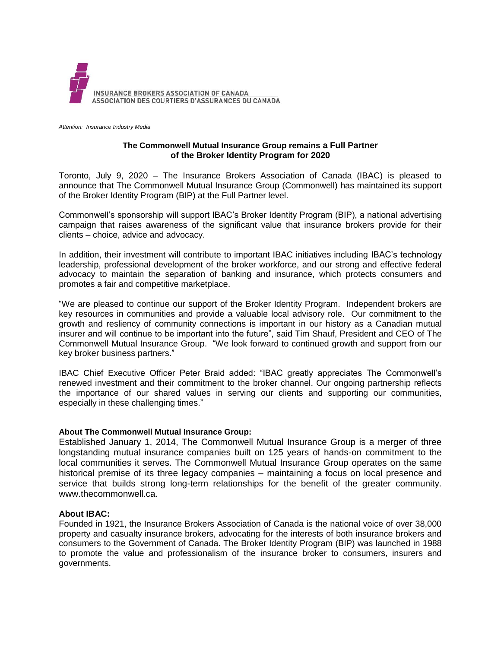

*Attention: Insurance Industry Media*

## **The Commonwell Mutual Insurance Group remains a Full Partner of the Broker Identity Program for 2020**

Toronto, July 9, 2020 – The Insurance Brokers Association of Canada (IBAC) is pleased to announce that The Commonwell Mutual Insurance Group (Commonwell) has maintained its support of the Broker Identity Program (BIP) at the Full Partner level.

Commonwell's sponsorship will support IBAC's Broker Identity Program (BIP), a national advertising campaign that raises awareness of the significant value that insurance brokers provide for their clients – choice, advice and advocacy.

In addition, their investment will contribute to important IBAC initiatives including IBAC's technology leadership, professional development of the broker workforce, and our strong and effective federal advocacy to maintain the separation of banking and insurance, which protects consumers and promotes a fair and competitive marketplace.

"We are pleased to continue our support of the Broker Identity Program. Independent brokers are key resources in communities and provide a valuable local advisory role. Our commitment to the growth and resliency of community connections is important in our history as a Canadian mutual insurer and will continue to be important into the future", said Tim Shauf, President and CEO of The Commonwell Mutual Insurance Group. "We look forward to continued growth and support from our key broker business partners."

IBAC Chief Executive Officer Peter Braid added: "IBAC greatly appreciates The Commonwell's renewed investment and their commitment to the broker channel. Our ongoing partnership reflects the importance of our shared values in serving our clients and supporting our communities, especially in these challenging times."

## **About The Commonwell Mutual Insurance Group:**

Established January 1, 2014, The Commonwell Mutual Insurance Group is a merger of three longstanding mutual insurance companies built on 125 years of hands-on commitment to the local communities it serves. The Commonwell Mutual Insurance Group operates on the same historical premise of its three legacy companies – maintaining a focus on local presence and service that builds strong long-term relationships for the benefit of the greater community. www.thecommonwell.ca.

## **About IBAC:**

Founded in 1921, the Insurance Brokers Association of Canada is the national voice of over 38,000 property and casualty insurance brokers, advocating for the interests of both insurance brokers and consumers to the Government of Canada. The Broker Identity Program (BIP) was launched in 1988 to promote the value and professionalism of the insurance broker to consumers, insurers and governments.